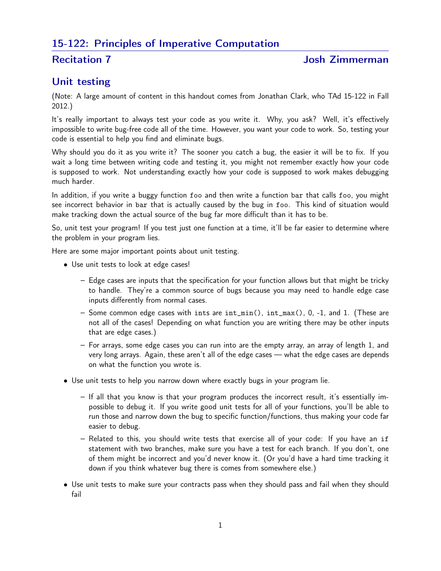# 15-122: Principles of Imperative Computation

### **Recitation 7** and 100 and 100 and 100 and 100 and 100 and 100 and 100 and 100 and 100 and 100 and 100 and 100 and 100 and 100 and 100 and 100 and 100 and 100 and 100 and 100 and 100 and 100 and 100 and 100 and 100 and 100

## Unit testing

(Note: A large amount of content in this handout comes from Jonathan Clark, who TAd 15-122 in Fall 2012.)

It's really important to always test your code as you write it. Why, you ask? Well, it's effectively impossible to write bug-free code all of the time. However, you want your code to work. So, testing your code is essential to help you find and eliminate bugs.

Why should you do it as you write it? The sooner you catch a bug, the easier it will be to fix. If you wait a long time between writing code and testing it, you might not remember exactly how your code is supposed to work. Not understanding exactly how your code is supposed to work makes debugging much harder.

In addition, if you write a buggy function foo and then write a function bar that calls foo, you might see incorrect behavior in bar that is actually caused by the bug in foo. This kind of situation would make tracking down the actual source of the bug far more difficult than it has to be.

So, unit test your program! If you test just one function at a time, it'll be far easier to determine where the problem in your program lies.

Here are some major important points about unit testing.

- Use unit tests to look at edge cases!
	- Edge cases are inputs that the specification for your function allows but that might be tricky to handle. They're a common source of bugs because you may need to handle edge case inputs differently from normal cases.
	- Some common edge cases with ints are int\_min(), int\_max(), 0, -1, and 1. (These are not all of the cases! Depending on what function you are writing there may be other inputs that are edge cases.)
	- For arrays, some edge cases you can run into are the empty array, an array of length 1, and very long arrays. Again, these aren't all of the edge cases — what the edge cases are depends on what the function you wrote is.
- Use unit tests to help you narrow down where exactly bugs in your program lie.
	- If all that you know is that your program produces the incorrect result, it's essentially impossible to debug it. If you write good unit tests for all of your functions, you'll be able to run those and narrow down the bug to specific function/functions, thus making your code far easier to debug.
	- Related to this, you should write tests that exercise all of your code: If you have an if statement with two branches, make sure you have a test for each branch. If you don't, one of them might be incorrect and you'd never know it. (Or you'd have a hard time tracking it down if you think whatever bug there is comes from somewhere else.)
- Use unit tests to make sure your contracts pass when they should pass and fail when they should fail